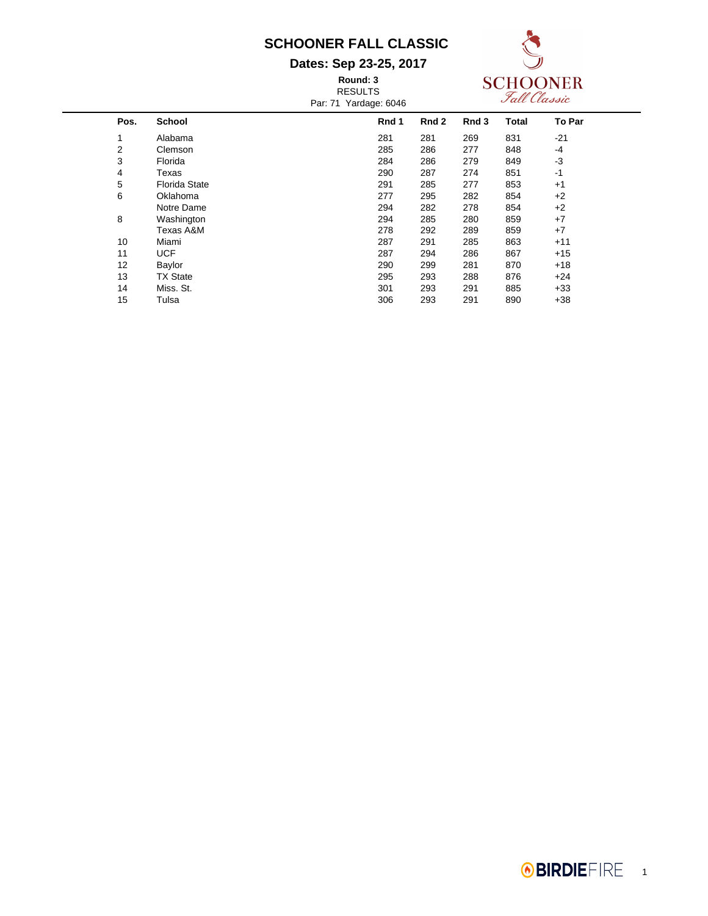#### **Dates: Sep 23-25, 2017**

**Round: 3** RESULTS Par: 71 Yardage: 6046



| $1.91.11$ $1.01990.0070$ |                      |       |       |                  |              |        |  |
|--------------------------|----------------------|-------|-------|------------------|--------------|--------|--|
| Pos.                     | <b>School</b>        | Rnd 1 | Rnd 2 | Rnd <sub>3</sub> | <b>Total</b> | To Par |  |
| 1                        | Alabama              | 281   | 281   | 269              | 831          | $-21$  |  |
| 2                        | Clemson              | 285   | 286   | 277              | 848          | -4     |  |
| 3                        | Florida              | 284   | 286   | 279              | 849          | -3     |  |
| 4                        | Texas                | 290   | 287   | 274              | 851          | $-1$   |  |
| 5                        | <b>Florida State</b> | 291   | 285   | 277              | 853          | $+1$   |  |
| 6                        | Oklahoma             | 277   | 295   | 282              | 854          | $+2$   |  |
|                          | Notre Dame           | 294   | 282   | 278              | 854          | +2     |  |
| 8                        | Washington           | 294   | 285   | 280              | 859          | $+7$   |  |
|                          | Texas A&M            | 278   | 292   | 289              | 859          | $+7$   |  |
| 10                       | Miami                | 287   | 291   | 285              | 863          | $+11$  |  |
| 11                       | <b>UCF</b>           | 287   | 294   | 286              | 867          | $+15$  |  |
| 12                       | Baylor               | 290   | 299   | 281              | 870          | $+18$  |  |
| 13                       | <b>TX State</b>      | 295   | 293   | 288              | 876          | $+24$  |  |
| 14                       | Miss. St.            | 301   | 293   | 291              | 885          | $+33$  |  |
| 15                       | Tulsa                | 306   | 293   | 291              | 890          | $+38$  |  |
|                          |                      |       |       |                  |              |        |  |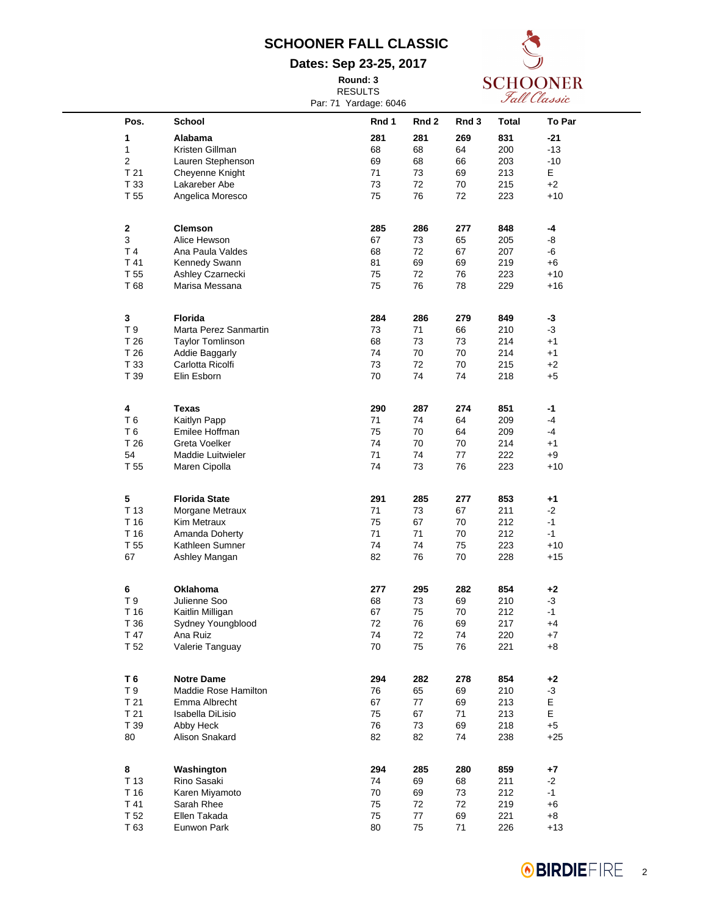**Dates: Sep 23-25, 2017**

**Round: 3**

RESULTS Par: 71 Yardage: 6046



| Pos.            | School                  | Rnd 1 | Rnd 2 | Rnd 3 | <b>Total</b> | To Par |
|-----------------|-------------------------|-------|-------|-------|--------------|--------|
| 1               | Alabama                 | 281   | 281   | 269   | 831          | $-21$  |
| 1               | Kristen Gillman         | 68    | 68    | 64    | 200          | $-13$  |
| $\mathbf{2}$    | Lauren Stephenson       | 69    | 68    | 66    | 203          | $-10$  |
|                 |                         |       |       |       |              |        |
| T <sub>21</sub> | Cheyenne Knight         | 71    | 73    | 69    | 213          | E      |
| T 33            | Lakareber Abe           | 73    | 72    | 70    | 215          | $+2$   |
| T 55            | Angelica Moresco        | 75    | 76    | 72    | 223          | $+10$  |
|                 |                         |       |       |       |              |        |
|                 |                         |       |       |       |              |        |
| $\mathbf{2}$    | <b>Clemson</b>          | 285   | 286   | 277   | 848          | -4     |
| 3               | Alice Hewson            | 67    | 73    | 65    | 205          | -8     |
| T <sub>4</sub>  | Ana Paula Valdes        | 68    | 72    | 67    | 207          | -6     |
| T 41            | Kennedy Swann           | 81    | 69    | 69    | 219          | +6     |
| T 55            | Ashley Czarnecki        | 75    | 72    | 76    | 223          | $+10$  |
| T 68            | Marisa Messana          | 75    | 76    | 78    | 229          | $+16$  |
|                 |                         |       |       |       |              |        |
|                 |                         |       |       |       |              |        |
| $\mathbf 3$     | Florida                 | 284   | 286   | 279   | 849          | -3     |
| T 9             | Marta Perez Sanmartin   | 73    | 71    | 66    | 210          | -3     |
| T 26            | <b>Taylor Tomlinson</b> | 68    | 73    | 73    | 214          | $+1$   |
|                 |                         |       |       |       |              |        |
| T 26            | Addie Baggarly          | 74    | 70    | 70    | 214          | $+1$   |
| T 33            | Carlotta Ricolfi        | 73    | 72    | 70    | 215          | $+2$   |
| T 39            | Elin Esborn             | 70    | 74    | 74    | 218          | $+5$   |
|                 |                         |       |       |       |              |        |
|                 |                         |       |       |       |              |        |
| 4               | <b>Texas</b>            | 290   | 287   | 274   | 851          | $-1$   |
| T 6             | Kaitlyn Papp            | 71    | 74    | 64    | 209          | -4     |
| T <sub>6</sub>  | Emilee Hoffman          | 75    | 70    | 64    | 209          | -4     |
| T 26            | Greta Voelker           | 74    | 70    | 70    | 214          | $+1$   |
| 54              | Maddie Luitwieler       | 71    | 74    | 77    | 222          | $+9$   |
| T 55            | Maren Cipolla           | 74    | 73    | 76    | 223          | $+10$  |
|                 |                         |       |       |       |              |        |
|                 |                         |       |       |       |              |        |
| $\sqrt{5}$      | <b>Florida State</b>    | 291   | 285   | 277   | 853          | $+1$   |
| T 13            | Morgane Metraux         | 71    | 73    | 67    | 211          | $-2$   |
| T 16            | Kim Metraux             | 75    | 67    | 70    | 212          | $-1$   |
| T 16            | Amanda Doherty          | 71    | 71    | 70    | 212          | $-1$   |
| T 55            | Kathleen Sumner         | 74    | 74    | 75    | 223          | $+10$  |
|                 |                         |       | 76    | 70    |              |        |
| 67              | Ashley Mangan           | 82    |       |       | 228          | $+15$  |
|                 |                         |       |       |       |              |        |
| 6               | <b>Oklahoma</b>         | 277   | 295   | 282   | 854          | $+2$   |
| T 9             | Julienne Soo            | 68    | 73    | 69    | 210          | $-3$   |
| T 16            | Kaitlin Milligan        | 67    | 75    | 70    | 212          | $-1$   |
|                 |                         |       |       |       |              |        |
| T 36            | Sydney Youngblood       | 72    | 76    | 69    | 217          | $+4$   |
| T 47            | Ana Ruiz                | 74    | 72    | 74    | 220          | +7     |
| T 52            | Valerie Tanguay         | 70    | 75    | 76    | 221          | $+8$   |
|                 |                         |       |       |       |              |        |
|                 |                         |       |       |       |              |        |
| T <sub>6</sub>  | <b>Notre Dame</b>       | 294   | 282   | 278   | 854          | $+2$   |
| T 9             | Maddie Rose Hamilton    | 76    | 65    | 69    | 210          | $-3$   |
| T <sub>21</sub> | Emma Albrecht           | 67    | 77    | 69    | 213          | E      |
| T <sub>21</sub> | Isabella DiLisio        | 75    | 67    | 71    | 213          | E      |
| T 39            | Abby Heck               | 76    | 73    | 69    | 218          | $+5$   |
| 80              | Alison Snakard          | 82    | 82    | 74    | 238          | $+25$  |
|                 |                         |       |       |       |              |        |
|                 |                         |       |       |       |              |        |
| 8               | Washington              | 294   | 285   | 280   | 859          | +7     |
| T 13            | Rino Sasaki             | 74    | 69    | 68    | 211          | $-2$   |
| T 16            | Karen Miyamoto          | 70    | 69    | 73    | 212          | $-1$   |
| T 41            | Sarah Rhee              | 75    | 72    | 72    | 219          | $+6$   |
| T 52            | Ellen Takada            | 75    | 77    | 69    | 221          | $+8$   |
| T 63            | Eunwon Park             | 80    | 75    | 71    | 226          | $+13$  |
|                 |                         |       |       |       |              |        |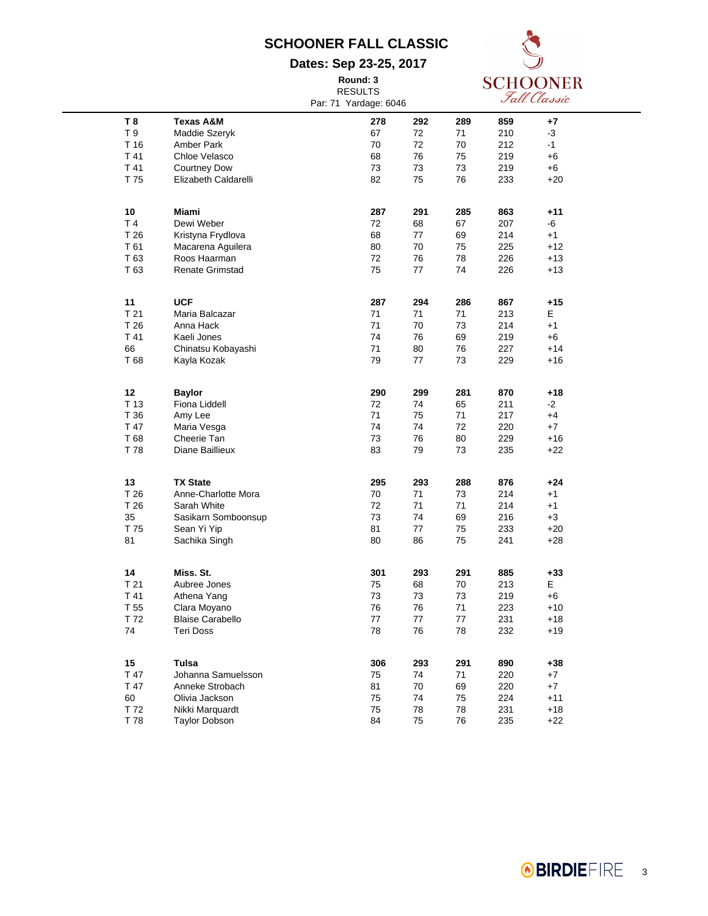**Dates: Sep 23-25, 2017 Round: 3**



|                 |                             | <b>RESULTS</b>        |            |           |            | Fall Classic |  |
|-----------------|-----------------------------|-----------------------|------------|-----------|------------|--------------|--|
|                 |                             | Par: 71 Yardage: 6046 |            |           |            |              |  |
| T <sub>8</sub>  | <b>Texas A&amp;M</b>        |                       | 292        |           |            |              |  |
| $\sf{T}$ 9      |                             | 278<br>67             | 72         | 289<br>71 | 859<br>210 | +7<br>-3     |  |
| T 16            | Maddie Szeryk<br>Amber Park | 70                    | 72         | 70        | 212        |              |  |
|                 |                             |                       |            |           |            | -1           |  |
| T 41            | Chloe Velasco               | 68                    | 76         | 75        | 219        | +6           |  |
| T 41            | <b>Courtney Dow</b>         | 73                    | 73         | 73        | 219        | +6           |  |
| T 75            | Elizabeth Caldarelli        | 82                    | 75         | 76        | 233        | $+20$        |  |
| 10              | Miami                       | 287                   | 291        | 285       | 863        | $+11$        |  |
| T <sub>4</sub>  | Dewi Weber                  | 72                    | 68         | 67        | 207        | -6           |  |
| T 26            | Kristyna Frydlova           | 68                    | 77         | 69        | 214        | $+1$         |  |
| T 61            | Macarena Aquilera           | 80                    | 70         | 75        | 225        | +12          |  |
| T 63            | Roos Haarman                | 72                    | 76         | 78        | 226        | $+13$        |  |
| T 63            | <b>Renate Grimstad</b>      | 75                    | 77         | 74        | 226        | $+13$        |  |
|                 |                             |                       |            |           |            |              |  |
| 11              | <b>UCF</b>                  | 287                   | 294        | 286       | 867        | $+15$        |  |
| T 21            | Maria Balcazar              | 71                    | 71         | 71        | 213        | E            |  |
| T 26            | Anna Hack                   | 71                    | 70         | 73        | 214        | $+1$         |  |
| T 41            | Kaeli Jones                 | 74                    | 76         | 69        | 219        | +6           |  |
| 66              | Chinatsu Kobayashi          | 71                    | 80         | 76        | 227        | $+14$        |  |
| T 68            | Kayla Kozak                 | 79                    | 77         | 73        | 229        | +16          |  |
| 12              | <b>Baylor</b>               | 290                   | 299        | 281       | 870        | +18          |  |
| T 13            | Fiona Liddell               | 72                    | 74         | 65        | 211        | -2           |  |
| T 36            | Amy Lee                     | 71                    | 75         | 71        | 217        | $+4$         |  |
| T 47            | Maria Vesga                 | 74                    | 74         | 72        | 220        | $+7$         |  |
| T 68            | Cheerie Tan                 | 73                    | 76         | 80        | 229        | +16          |  |
| T 78            | Diane Baillieux             | 83                    | 79         | 73        | 235        | +22          |  |
|                 |                             |                       |            |           |            |              |  |
| 13              | <b>TX State</b>             | 295                   | 293        | 288       | 876        | +24          |  |
| T 26            | Anne-Charlotte Mora         | 70                    | 71         | 73        | 214        | $+1$         |  |
| T 26            | Sarah White                 | 72                    | 71         | 71        | 214        | $+1$         |  |
| 35              | Sasikarn Somboonsup         | 73                    | 74         | 69        | 216        | $+3$         |  |
| T 75            | Sean Yi Yip                 | 81                    | 77         | 75        | 233        | $+20$        |  |
| 81              | Sachika Singh               | 80                    | 86         | 75        | 241        | $+28$        |  |
| 14              | Miss. St.                   | 301                   | 293        | 291       | 885        | $+33$        |  |
| T <sub>21</sub> | Aubree Jones                | 75                    | 68         | 70        | 213        | E            |  |
| T 41            | Athena Yang                 | 73                    | 73         | 73        | 219        | +6           |  |
| T <sub>55</sub> | Clara Moyano                | 76                    | ${\bf 76}$ | $71$      | 223        | $+10$        |  |
| T 72            | <b>Blaise Carabello</b>     | 77                    | 77         | 77        | 231        | +18          |  |
| 74              | <b>Teri Doss</b>            | 78                    | 76         | 78        | 232        | $+19$        |  |
|                 |                             |                       |            |           |            |              |  |
| 15              | Tulsa                       | 306                   | 293        | 291       | 890        | $+38$        |  |
| T 47            | Johanna Samuelsson          | 75                    | 74         | 71        | 220        | $+7$         |  |
| T 47            | Anneke Strobach             | 81                    | 70         | 69        | 220        | +7           |  |
| 60              | Olivia Jackson              | 75                    | 74         | 75        | 224        | $+11$        |  |
| T 72            | Nikki Marquardt             | 75                    | 78         | 78        | 231        | $+18$        |  |
| T 78            | <b>Taylor Dobson</b>        | 84                    | 75         | 76        | 235        | $+22$        |  |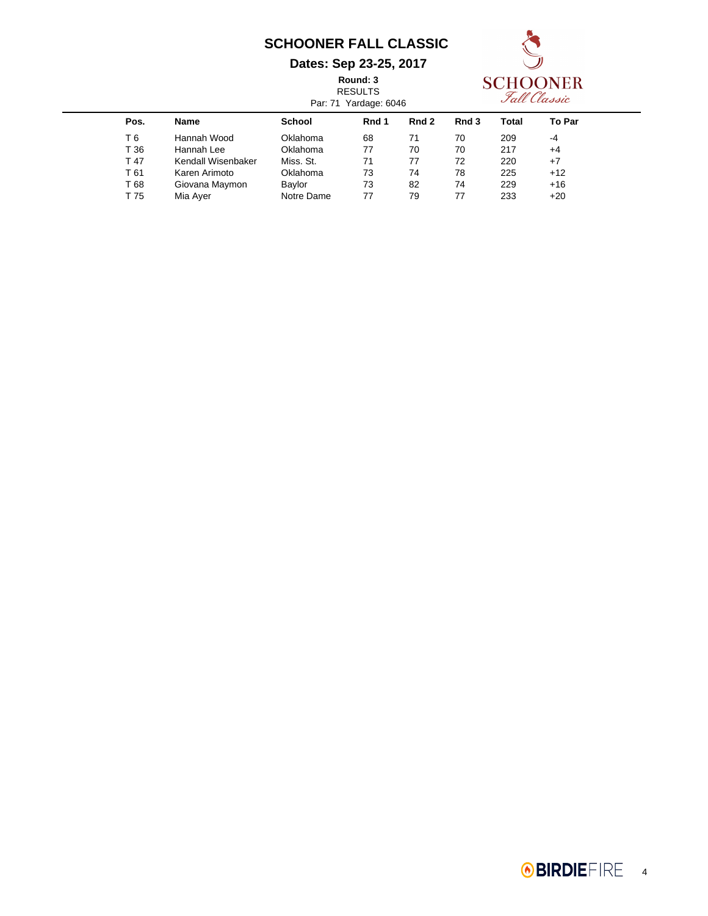#### **Dates: Sep 23-25, 2017**

**Round: 3**

**SCHOONER** 

|                    |               |       |                |                       |       | Fall Classic |
|--------------------|---------------|-------|----------------|-----------------------|-------|--------------|
| <b>Name</b>        | <b>School</b> | Rnd 1 | Rnd 2          | Rnd 3                 | Total | To Par       |
| Hannah Wood        | Oklahoma      | 68    | 71             | 70                    | 209   | -4           |
| Hannah Lee         | Oklahoma      | 77    | 70             | 70                    | 217   | $+4$         |
| Kendall Wisenbaker | Miss. St.     | 71    | 77             | 72                    | 220   | $+7$         |
| Karen Arimoto      | Oklahoma      | 73    | 74             | 78                    | 225   | $+12$        |
| Giovana Maymon     | Baylor        | 73    | 82             | 74                    | 229   | $+16$        |
| Mia Ayer           | Notre Dame    | 77    | 79             | 77                    | 233   | $+20$        |
|                    |               |       | <b>RESULTS</b> | Par: 71 Yardage: 6046 |       |              |

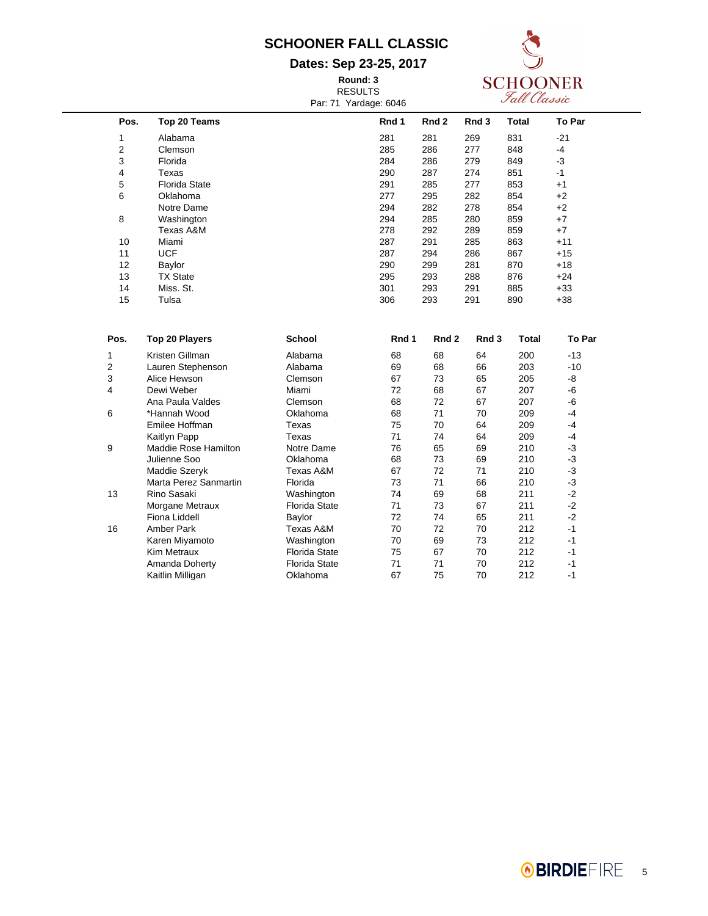#### **Dates: Sep 23-25, 2017**

**Round: 3** RESULTS Par: 71 Yardage: 6046



| Pos.           | Top 20 Teams         | Rnd 1 | Rnd 2 | Rnd 3 | <b>Total</b> | To Par |
|----------------|----------------------|-------|-------|-------|--------------|--------|
| 1              | Alabama              | 281   | 281   | 269   | 831          | $-21$  |
| $\overline{2}$ | Clemson              | 285   | 286   | 277   | 848          | $-4$   |
| 3              | Florida              | 284   | 286   | 279   | 849          | -3     |
| 4              | Texas                | 290   | 287   | 274   | 851          | -1     |
| 5              | <b>Florida State</b> | 291   | 285   | 277   | 853          | $+1$   |
| 6              | Oklahoma             | 277   | 295   | 282   | 854          | $+2$   |
|                | Notre Dame           | 294   | 282   | 278   | 854          | $+2$   |
| 8              | Washington           | 294   | 285   | 280   | 859          | $+7$   |
|                | Texas A&M            | 278   | 292   | 289   | 859          | $+7$   |
| 10             | Miami                | 287   | 291   | 285   | 863          | $+11$  |
| 11             | <b>UCF</b>           | 287   | 294   | 286   | 867          | $+15$  |
| 12             | Baylor               | 290   | 299   | 281   | 870          | $+18$  |
| 13             | <b>TX State</b>      | 295   | 293   | 288   | 876          | $+24$  |
| 14             | Miss. St.            | 301   | 293   | 291   | 885          | $+33$  |
| 15             | Tulsa                | 306   | 293   | 291   | 890          | $+38$  |

| Pos. | <b>Top 20 Players</b> | <b>School</b>        | Rnd 1 | Rnd 2 | Rnd 3 | Total | To Par |
|------|-----------------------|----------------------|-------|-------|-------|-------|--------|
|      | Kristen Gillman       | Alabama              | 68    | 68    | 64    | 200   | $-13$  |
| 2    | Lauren Stephenson     | Alabama              | 69    | 68    | 66    | 203   | -10    |
| 3    | Alice Hewson          | Clemson              | 67    | 73    | 65    | 205   | -8     |
| 4    | Dewi Weber            | Miami                | 72    | 68    | 67    | 207   | -6     |
|      | Ana Paula Valdes      | Clemson              | 68    | 72    | 67    | 207   | -6     |
| 6    | *Hannah Wood          | Oklahoma             | 68    | 71    | 70    | 209   | -4     |
|      | Emilee Hoffman        | Texas                | 75    | 70    | 64    | 209   | -4     |
|      | Kaitlyn Papp          | Texas                | 71    | 74    | 64    | 209   | -4     |
| 9    | Maddie Rose Hamilton  | Notre Dame           | 76    | 65    | 69    | 210   | -3     |
|      | Julienne Soo          | Oklahoma             | 68    | 73    | 69    | 210   | -3     |
|      | Maddie Szeryk         | Texas A&M            | 67    | 72    | 71    | 210   | -3     |
|      | Marta Perez Sanmartin | Florida              | 73    | 71    | 66    | 210   | -3     |
| 13   | Rino Sasaki           | Washington           | 74    | 69    | 68    | 211   | $-2$   |
|      | Morgane Metraux       | <b>Florida State</b> | 71    | 73    | 67    | 211   | $-2$   |
|      | Fiona Liddell         | Baylor               | 72    | 74    | 65    | 211   | $-2$   |
| 16   | Amber Park            | Texas A&M            | 70    | 72    | 70    | 212   | $-1$   |
|      | Karen Miyamoto        | Washington           | 70    | 69    | 73    | 212   | $-1$   |
|      | <b>Kim Metraux</b>    | <b>Florida State</b> | 75    | 67    | 70    | 212   | $-1$   |
|      | Amanda Doherty        | <b>Florida State</b> | 71    | 71    | 70    | 212   | $-1$   |
|      | Kaitlin Milligan      | Oklahoma             | 67    | 75    | 70    | 212   | $-1$   |
|      |                       |                      |       |       |       |       |        |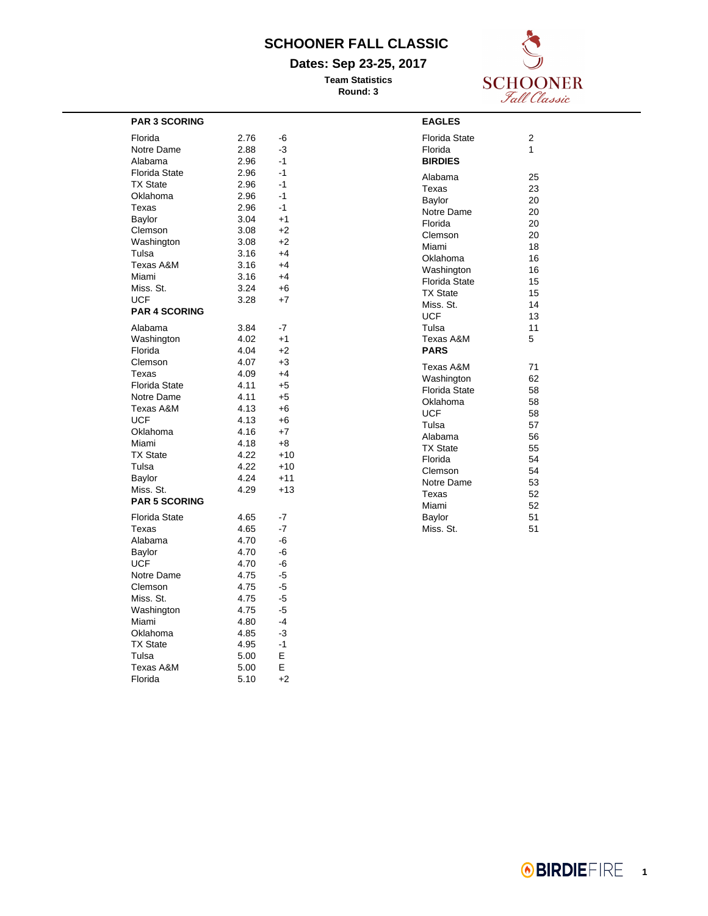#### **Dates: Sep 23-25, 2017**

**Team Statistics Round: 3**



| <b>PAR 3 SCORING</b>                                   |                              |                                 | <b>EAGLES</b>                                |
|--------------------------------------------------------|------------------------------|---------------------------------|----------------------------------------------|
| Florida                                                | 2.76                         | -6                              | Florida St                                   |
| Notre Dame                                             | 2.88                         | -3                              | Florida                                      |
| Alabama                                                | 2.96                         | $-1$                            | <b>BIRDIES</b>                               |
| <b>Florida State</b>                                   | 2.96                         | $-1$                            | Alabama                                      |
| <b>TX State</b>                                        | 2.96                         | $-1$                            | Texas                                        |
| Oklahoma                                               | 2.96                         | $-1$                            | Baylor                                       |
| Texas                                                  | 2.96                         | $-1$                            | Notre Dan                                    |
| Baylor                                                 | 3.04                         | $+1$                            | Florida                                      |
| Clemson                                                | 3.08                         | $+2$                            | Clemson                                      |
| Washington                                             | 3.08                         | $+2$                            | Miami                                        |
| Tulsa                                                  | 3.16                         | $+4$                            | Oklahoma                                     |
| Texas A&M                                              | 3.16                         | $+4$                            | Washingto                                    |
| Miami                                                  | 3.16                         | $+4$                            | Florida St                                   |
| Miss. St.                                              | 3.24                         | $+6$                            | <b>TX State</b>                              |
| <b>UCF</b>                                             | 3.28                         | $+7$                            | Miss. St.                                    |
| <b>PAR 4 SCORING</b>                                   |                              |                                 | <b>UCF</b>                                   |
| Alabama                                                | 3.84                         | $-7$                            | Tulsa                                        |
| Washington                                             | 4.02                         | $+1$                            | Texas A&                                     |
| Florida                                                | 4.04                         | $+2$                            | <b>PARS</b>                                  |
| Clemson<br>Texas<br><b>Florida State</b><br>Notre Dame | 4.07<br>4.09<br>4.11<br>4.11 | $+3$<br>$+4$<br>$+5$<br>$+5$    | Texas A&<br>Washingto<br>Florida St          |
| Texas A&M<br><b>UCF</b><br>Oklahoma                    | 4.13<br>4.13<br>4.16         | $+6$<br>$+6$<br>$+7$            | Oklahoma<br><b>UCF</b><br>Tulsa<br>Alabama   |
| Miami<br><b>TX State</b><br>Tulsa<br>Baylor            | 4.18<br>4.22<br>4.22<br>4.24 | $+8$<br>$+10$<br>$+10$<br>$+11$ | <b>TX State</b><br>Florida<br><b>Clemson</b> |
| Miss. St.<br><b>PAR 5 SCORING</b>                      | 4.29                         | $+13$                           | Notre Dan<br>Texas<br>Miami                  |
| <b>Florida State</b>                                   | 4.65                         | $-7$                            | Baylor                                       |
| Texas                                                  | 4.65                         | $-7$                            | Miss. St.                                    |
| Alabama                                                | 4.70                         | -6                              |                                              |
| Baylor                                                 | 4.70                         | -6                              |                                              |
| <b>UCF</b>                                             | 4.70                         | -6                              |                                              |
| Notre Dame                                             | 4.75                         | -5                              |                                              |
| Clemson                                                | 4.75                         | $-5$                            |                                              |
| Miss. St.                                              | 4.75                         | -5                              |                                              |
| Washington                                             | 4.75                         | $-5$                            |                                              |
| Miami                                                  | 4.80                         | $-4$                            |                                              |
| Oklahoma                                               | 4.85                         | $-3$                            |                                              |
| <b>TX State</b>                                        | 4.95                         | $-1$                            |                                              |
| Tulsa                                                  | 5.00                         | E                               |                                              |
| Texas A&M                                              | 5.00                         | E                               |                                              |
| Florida                                                | 5.10                         | $+2$                            |                                              |

| Florida State<br>Florida<br><b>BIRDIES</b>                                                                                                                                                    | 2<br>1                                                                                |
|-----------------------------------------------------------------------------------------------------------------------------------------------------------------------------------------------|---------------------------------------------------------------------------------------|
| Alabama<br>Texas<br>Baylor<br>Notre Dame<br>Florida<br>Clemson<br>Miami<br>Oklahoma<br>Washington<br><b>Florida State</b><br><b>TX State</b><br>Miss. St.<br><b>UCF</b><br>Tulsa<br>Texas A&M | 25<br>23<br>20<br>20<br>20<br>20<br>18<br>16<br>16<br>15<br>15<br>14<br>13<br>11<br>5 |
| <b>PARS</b>                                                                                                                                                                                   |                                                                                       |
| Texas A&M<br>Washington<br><b>Florida State</b><br>Oklahoma<br><b>UCF</b><br>Tulsa<br>Alabama<br><b>TX State</b><br>Florida<br>Clemson<br>Notre Dame<br>Texas<br>Miami<br>Baylor              | 71<br>62<br>58<br>58<br>58<br>57<br>56<br>55<br>54<br>54<br>53<br>52<br>52<br>51      |
| Miss. St.                                                                                                                                                                                     | 51                                                                                    |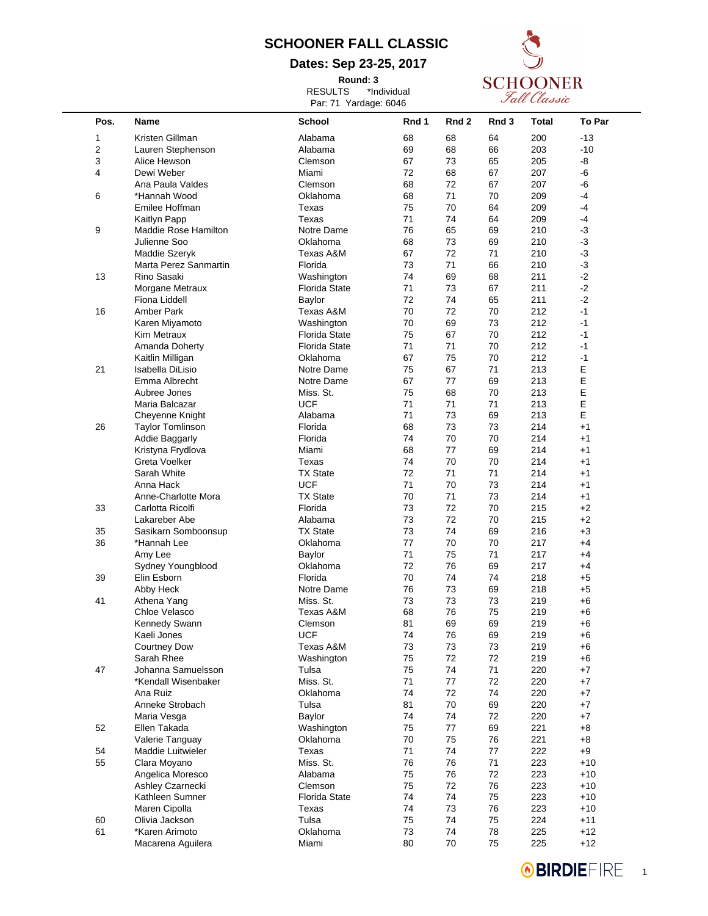**Dates: Sep 23-25, 2017**

**Round: 3** RESULTS \*Individual



|                |                                     | Par: 71 Yardage: 6046 |          |          |          | s uu clussic |                |  |
|----------------|-------------------------------------|-----------------------|----------|----------|----------|--------------|----------------|--|
| Pos.           | <b>Name</b>                         | School                | Rnd 1    | Rnd 2    | Rnd 3    | Total        | To Par         |  |
| 1              | Kristen Gillman                     | Alabama               | 68       | 68       | 64       | 200          | $-13$          |  |
| $\overline{2}$ | Lauren Stephenson                   | Alabama               | 69       | 68       | 66       | 203          | $-10$          |  |
| 3              | Alice Hewson                        | Clemson               | 67       | 73       | 65       | 205          | -8             |  |
| 4              | Dewi Weber                          | Miami                 | 72       | 68       | 67       | 207          | -6             |  |
|                | Ana Paula Valdes                    | Clemson               | 68       | 72       | 67       | 207          | -6             |  |
| 6              | *Hannah Wood                        | Oklahoma              | 68       | 71       | 70       | 209          | $-4$           |  |
|                | Emilee Hoffman                      | Texas                 | 75       | 70       | 64       | 209          | -4             |  |
|                | Kaitlyn Papp                        | Texas                 | 71       | 74       | 64       | 209          | -4             |  |
| 9              | Maddie Rose Hamilton                | Notre Dame            | 76       | 65       | 69       | 210          | $-3$           |  |
|                | Julienne Soo                        | Oklahoma              | 68       | 73       | 69       | 210          | $-3$           |  |
|                | Maddie Szeryk                       | Texas A&M             | 67       | 72       | 71       | 210          | $-3$           |  |
|                | Marta Perez Sanmartin               | Florida               | 73       | 71       | 66       | 210          | $-3$           |  |
| 13             | Rino Sasaki                         | Washington            | 74       | 69       | 68       | 211          | $-2$           |  |
|                | Morgane Metraux                     | <b>Florida State</b>  | 71       | 73       | 67       | 211          | $-2$           |  |
|                | Fiona Liddell                       | Baylor                | 72       | 74       | 65       | 211          | $-2$           |  |
| 16             | Amber Park                          |                       | 70       | 72       | 70       | 212          | $-1$           |  |
|                |                                     | Texas A&M             |          |          |          |              |                |  |
|                | Karen Miyamoto                      | Washington            | 70       | 69       | 73       | 212          | $-1$           |  |
|                | Kim Metraux                         | <b>Florida State</b>  | 75       | 67       | 70       | 212          | $-1$           |  |
|                | Amanda Doherty                      | <b>Florida State</b>  | 71       | 71       | 70       | 212          | $-1$           |  |
|                | Kaitlin Milligan                    | Oklahoma              | 67       | 75       | 70       | 212          | $-1$           |  |
| 21             | Isabella DiLisio                    | Notre Dame            | 75       | 67       | 71       | 213          | Ε              |  |
|                | Emma Albrecht                       | Notre Dame            | 67       | 77       | 69       | 213          | E              |  |
|                | Aubree Jones                        | Miss. St.             | 75       | 68       | 70       | 213          | E              |  |
|                | Maria Balcazar                      | <b>UCF</b>            | 71       | 71       | 71       | 213          | E              |  |
|                | Cheyenne Knight                     | Alabama               | 71       | 73       | 69       | 213          | Е              |  |
| 26             | <b>Taylor Tomlinson</b>             | Florida               | 68       | 73       | 73       | 214          | $+1$           |  |
|                | <b>Addie Baggarly</b>               | Florida               | 74       | 70       | 70       | 214          | $+1$           |  |
|                | Kristyna Frydlova                   | Miami                 | 68       | 77       | 69       | 214          | $+1$           |  |
|                | Greta Voelker                       | Texas                 | 74       | 70       | 70       | 214          | $+1$           |  |
|                | Sarah White                         | <b>TX State</b>       | 72       | 71       | 71       | 214          | $+1$           |  |
|                | Anna Hack                           | <b>UCF</b>            | 71       | 70       | 73       | 214          | $+1$           |  |
|                | Anne-Charlotte Mora                 | <b>TX State</b>       | 70       | 71       | 73       | 214          | $+1$           |  |
| 33             | Carlotta Ricolfi                    | Florida               | 73       | 72       | 70       | 215          | +2             |  |
|                | Lakareber Abe                       | Alabama               | 73       | 72       | 70       | 215          | +2             |  |
| 35             | Sasikarn Somboonsup                 | <b>TX State</b>       | 73       | 74       | 69       | 216          | +3             |  |
| 36             | *Hannah Lee                         | Oklahoma              | 77       | 70       | 70       | 217          | $+4$           |  |
|                |                                     | Baylor                | 71       | 75       | 71       | 217          | $+4$           |  |
|                | Amy Lee                             |                       |          | 76       |          |              |                |  |
|                | Sydney Youngblood                   | Oklahoma              | 72       |          | 69       | 217          | $+4$           |  |
| 39             | Elin Esborn                         | Florida               | 70       | 74       | 74       | 218          | $+5$           |  |
|                | Abby Heck                           | Notre Dame            | 76       | 73       | 69       | 218          | +5             |  |
| 41             | Athena Yang                         | Miss. St.             | 73       | 73       | 73       | 219          | +6             |  |
|                | Chloe Velasco                       | Texas A&M             | 68       | 76       | 75       | 219          | +6             |  |
|                | Kennedy Swann                       | Clemson               | 81       | 69       | 69       | 219          | +6             |  |
|                | Kaeli Jones                         | <b>UCF</b>            | 74       | 76       | 69       | 219          | +6             |  |
|                | <b>Courtney Dow</b>                 | Texas A&M             | 73       | 73       | 73       | 219          | $+6$           |  |
|                | Sarah Rhee                          | Washington            | 75       | 72       | 72       | 219          | +6             |  |
| 47             | Johanna Samuelsson                  | Tulsa                 | 75       | 74       | 71       | 220          | +7             |  |
|                | *Kendall Wisenbaker                 | Miss. St.             | 71       | 77       | 72       | 220          | $+7$           |  |
|                | Ana Ruiz                            | Oklahoma              | 74       | 72       | 74       | 220          | +7             |  |
|                | Anneke Strobach                     | Tulsa                 | 81       | 70       | 69       | 220          | +7             |  |
|                | Maria Vesga                         | Baylor                | 74       | 74       | 72       | 220          | +7             |  |
| 52             | Ellen Takada                        | Washington            | 75       | 77       | 69       | 221          | $+8$           |  |
|                | Valerie Tanguay                     | Oklahoma              | 70       | 75       | 76       | 221          | +8             |  |
| 54             | Maddie Luitwieler                   | Texas                 | 71       | 74       | 77       | 222          | $+9$           |  |
| 55             | Clara Moyano                        | Miss. St.             | 76       | 76       | 71       | 223          | $+10$          |  |
|                |                                     |                       |          |          |          |              |                |  |
|                | Angelica Moresco                    | Alabama               | 75       | 76       | 72       | 223          | $+10$          |  |
|                | Ashley Czarnecki                    | Clemson               | 75       | 72       | 76       | 223          | $+10$          |  |
|                |                                     |                       | 74       | 74       | 75       | 223          | $+10$          |  |
|                | Kathleen Sumner                     | <b>Florida State</b>  |          |          |          |              |                |  |
|                | Maren Cipolla                       | Texas                 | 74       | 73       | 76       | 223          | $+10$          |  |
|                | Olivia Jackson                      | Tulsa                 | 75       | 74       | 75       | 224          | $+11$          |  |
| 60<br>61       | *Karen Arimoto<br>Macarena Aguilera | Oklahoma<br>Miami     | 73<br>80 | 74<br>70 | 78<br>75 | 225<br>225   | $+12$<br>$+12$ |  |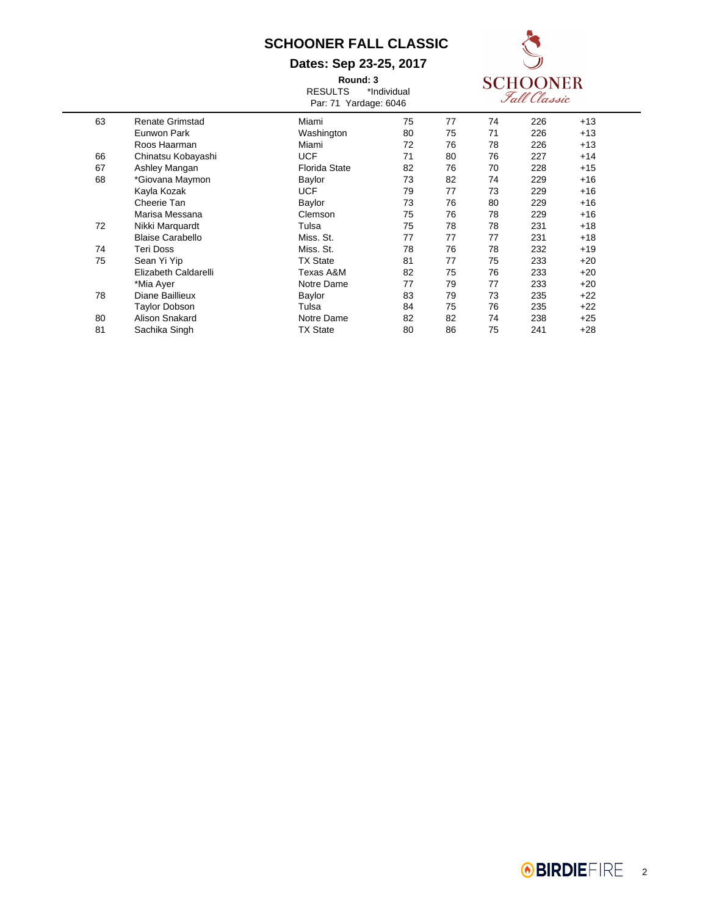#### **Dates: Sep 23-25, 2017**

**Round: 3** RESULTS \*Individual



|    |                         | Par: 71 Yardage: 6046 |    |    |    | Fall Classic |       |  |
|----|-------------------------|-----------------------|----|----|----|--------------|-------|--|
| 63 | Renate Grimstad         | Miami                 | 75 | 77 | 74 | 226          | $+13$ |  |
|    | Eunwon Park             | Washington            | 80 | 75 | 71 | 226          | $+13$ |  |
|    | Roos Haarman            | Miami                 | 72 | 76 | 78 | 226          | $+13$ |  |
| 66 | Chinatsu Kobayashi      | <b>UCF</b>            | 71 | 80 | 76 | 227          | $+14$ |  |
| 67 | Ashley Mangan           | <b>Florida State</b>  | 82 | 76 | 70 | 228          | $+15$ |  |
| 68 | *Giovana Maymon         | Baylor                | 73 | 82 | 74 | 229          | $+16$ |  |
|    | Kayla Kozak             | <b>UCF</b>            | 79 | 77 | 73 | 229          | $+16$ |  |
|    | Cheerie Tan             | Baylor                | 73 | 76 | 80 | 229          | $+16$ |  |
|    | Marisa Messana          | Clemson               | 75 | 76 | 78 | 229          | $+16$ |  |
| 72 | Nikki Marquardt         | Tulsa                 | 75 | 78 | 78 | 231          | $+18$ |  |
|    | <b>Blaise Carabello</b> | Miss. St.             | 77 | 77 | 77 | 231          | $+18$ |  |
| 74 | <b>Teri Doss</b>        | Miss. St.             | 78 | 76 | 78 | 232          | $+19$ |  |
| 75 | Sean Yi Yip             | <b>TX State</b>       | 81 | 77 | 75 | 233          | $+20$ |  |
|    | Elizabeth Caldarelli    | Texas A&M             | 82 | 75 | 76 | 233          | $+20$ |  |
|    | *Mia Ayer               | Notre Dame            | 77 | 79 | 77 | 233          | $+20$ |  |
| 78 | Diane Baillieux         | Baylor                | 83 | 79 | 73 | 235          | +22   |  |
|    | Taylor Dobson           | Tulsa                 | 84 | 75 | 76 | 235          | $+22$ |  |
| 80 | Alison Snakard          | Notre Dame            | 82 | 82 | 74 | 238          | $+25$ |  |
| 81 | Sachika Singh           | <b>TX State</b>       | 80 | 86 | 75 | 241          | $+28$ |  |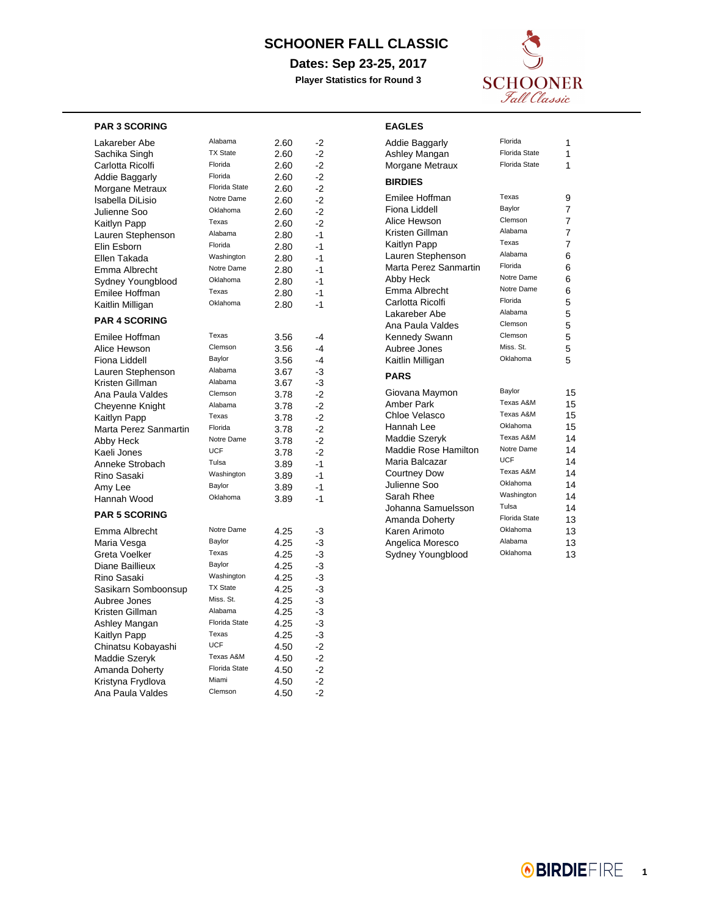**Dates: Sep 23-25, 2017**

**Player Statistics for Round 3**

**EAGLES**



#### **PAR 3 SCORING**

| Lakareber Abe         | Alabama              | 2.60 | -2   |
|-----------------------|----------------------|------|------|
| Sachika Singh         | <b>TX State</b>      | 2.60 | $-2$ |
| Carlotta Ricolfi      | Florida              | 2.60 | $-2$ |
| <b>Addie Baggarly</b> | Florida              | 2.60 | $-2$ |
| Morgane Metraux       | Florida State        | 2.60 | $-2$ |
| Isabella DiLisio      | Notre Dame           | 2.60 | $-2$ |
| Julienne Soo          | Oklahoma             | 2.60 | $-2$ |
| Kaitlyn Papp          | Texas                | 2.60 | -2   |
| Lauren Stephenson     | Alabama              | 2.80 | $-1$ |
| Elin Esborn           | Florida              | 2.80 | -1   |
| Ellen Takada          | Washington           | 2.80 | $-1$ |
| Emma Albrecht         | Notre Dame           | 2.80 | -1   |
| Sydney Youngblood     | Oklahoma             | 2.80 | $-1$ |
| Emilee Hoffman        | Texas                | 2.80 | $-1$ |
| Kaitlin Milligan      | Oklahoma             | 2.80 | -1   |
| <b>PAR 4 SCORING</b>  |                      |      |      |
| Emilee Hoffman        | Texas                | 3.56 | $-4$ |
| Alice Hewson          | Clemson              | 3.56 | $-4$ |
| Fiona Liddell         | Baylor               | 3.56 | -4   |
| Lauren Stephenson     | Alabama              | 3.67 | -3   |
| Kristen Gillman       | Alabama              | 3.67 | -3   |
| Ana Paula Valdes      | Clemson              | 3.78 | $-2$ |
| Cheyenne Knight       | Alabama              | 3.78 | $-2$ |
| Kaitlyn Papp          | Texas                | 3.78 | $-2$ |
| Marta Perez Sanmartin | Florida              | 3.78 | $-2$ |
| Abby Heck             | Notre Dame           | 3.78 | $-2$ |
| Kaeli Jones           | <b>UCF</b>           | 3.78 | $-2$ |
| Anneke Strobach       | Tulsa                | 3.89 | $-1$ |
| Rino Sasaki           | Washington           | 3.89 | $-1$ |
| Amy Lee               | Baylor               | 3.89 | -1   |
| Hannah Wood           | Oklahoma             | 3.89 | -1   |
| <b>PAR 5 SCORING</b>  |                      |      |      |
| Emma Albrecht         | Notre Dame           | 4.25 | -3   |
| Maria Vesga           | Baylor               | 4.25 | -3   |
| Greta Voelker         | Texas                | 4.25 | -3   |
| Diane Baillieux       | Baylor               | 4.25 | -3   |
| Rino Sasaki           | Washington           | 4.25 | -3   |
| Sasikarn Somboonsup   | <b>TX State</b>      | 4.25 | $-3$ |
| Aubree Jones          | Miss. St.            | 4.25 | -3   |
| Kristen Gillman       | Alabama              | 4.25 | -3   |
| Ashley Mangan         | Florida State        | 4.25 | -3   |
| Kaitlyn Papp          | Texas                | 4.25 | -3   |
| Chinatsu Kobayashi    | <b>UCF</b>           | 4.50 | $-2$ |
| Maddie Szeryk         | Texas A&M            | 4.50 | $-2$ |
| Amanda Doherty        | <b>Florida State</b> | 4.50 | $-2$ |
| Kristyna Frydlova     | Miami                | 4.50 | $-2$ |
| Ana Paula Valdes      | Clemson              | 4.50 | $-2$ |
|                       |                      |      |      |

| Addie Baggarly              | Florida              | 1              |
|-----------------------------|----------------------|----------------|
| Ashley Mangan               | <b>Florida State</b> | 1              |
| Morgane Metraux             | Florida State        | 1              |
| <b>BIRDIES</b>              |                      |                |
| Emilee Hoffman              | Texas                | 9              |
| Fiona Liddell               | Baylor               | $\overline{7}$ |
| Alice Hewson                | Clemson              | 7              |
| Kristen Gillman             | Alabama              | $\overline{7}$ |
| Kaitlyn Papp                | Texas                | $\overline{7}$ |
| Lauren Stephenson           | Alabama              | 6              |
| Marta Perez Sanmartin       | Florida              | 6              |
| Abby Heck                   | Notre Dame           | 6              |
| Emma Albrecht               | Notre Dame           | 6              |
| Carlotta Ricolfi            | Florida              | 5              |
| Lakareber Abe               | Alabama              | 5              |
| Ana Paula Valdes            | Clemson              | 5              |
| Kennedy Swann               | Clemson              | 5              |
| Aubree Jones                | Miss. St.            | 5              |
| Kaitlin Milligan            | Oklahoma             | 5              |
| <b>PARS</b>                 |                      |                |
| Giovana Maymon              | Baylor               | 15             |
| Amber Park                  | Texas A&M            | 15             |
| Chloe Velasco               | Texas A&M            | 15             |
| Hannah Lee                  | Oklahoma             | 15             |
| Maddie Szeryk               | Texas A&M            | 14             |
| <b>Maddie Rose Hamilton</b> | Notre Dame           | 14             |
| Maria Balcazar              | <b>UCF</b>           | 14             |
| <b>Courtney Dow</b>         | Texas A&M            | 14             |
| Julienne Soo                | Oklahoma             | 14             |
| Sarah Rhee                  | Washington           | 14             |
| Johanna Samuelsson          | Tulsa                | 14             |
| Amanda Doherty              | <b>Florida State</b> | 13             |
| Karen Arimoto               | Oklahoma             | 13             |
| Angelica Moresco            | Alabama              | 13             |
| Sydney Youngblood           | Oklahoma             | 13             |

**8BIRDIEFIRE**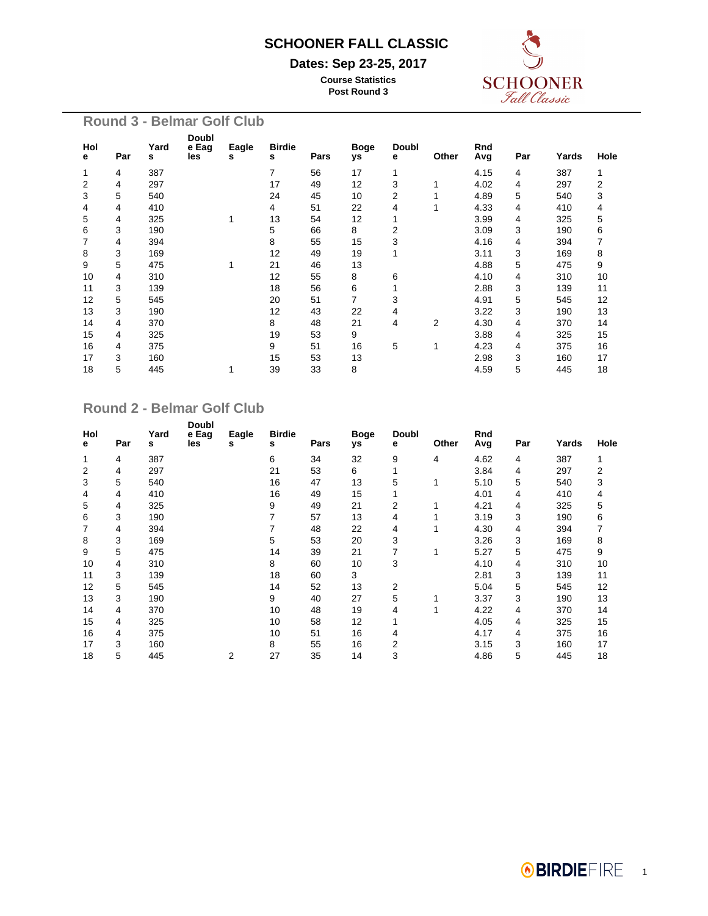#### **Dates: Sep 23-25, 2017**

**Course Statistics Post Round 3**



| <b>Round 3 - Belmar Golf Club</b> |          |     |           |                       |            |                    |      |                   |                   |       |            |     |       |      |
|-----------------------------------|----------|-----|-----------|-----------------------|------------|--------------------|------|-------------------|-------------------|-------|------------|-----|-------|------|
|                                   | Hol<br>е | Par | Yard<br>s | Doubl<br>e Eag<br>les | Eagle<br>s | <b>Birdie</b><br>s | Pars | <b>Boge</b><br>уs | <b>Doubl</b><br>е | Other | Rnd<br>Avg | Par | Yards | Hole |
|                                   | 1        | 4   | 387       |                       |            | 7                  | 56   | 17                | 1                 |       | 4.15       | 4   | 387   | 1    |
|                                   | 2        | 4   | 297       |                       |            | 17                 | 49   | 12                | 3                 | 1     | 4.02       | 4   | 297   | 2    |
|                                   | 3        | 5   | 540       |                       |            | 24                 | 45   | 10                | 2                 |       | 4.89       | 5   | 540   | 3    |
|                                   | 4        | 4   | 410       |                       |            | 4                  | 51   | 22                | 4                 |       | 4.33       | 4   | 410   | 4    |
|                                   | 5        | 4   | 325       |                       | 1          | 13                 | 54   | 12                |                   |       | 3.99       | 4   | 325   | 5    |
|                                   | 6        | 3   | 190       |                       |            | 5                  | 66   | 8                 | 2                 |       | 3.09       | 3   | 190   | 6    |
|                                   | 7        | 4   | 394       |                       |            | 8                  | 55   | 15                | 3                 |       | 4.16       | 4   | 394   | 7    |
|                                   | 8        | 3   | 169       |                       |            | 12                 | 49   | 19                |                   |       | 3.11       | 3   | 169   | 8    |
|                                   | 9        | 5   | 475       |                       | 1          | 21                 | 46   | 13                |                   |       | 4.88       | 5   | 475   | 9    |
|                                   | 10       | 4   | 310       |                       |            | 12                 | 55   | 8                 | 6                 |       | 4.10       | 4   | 310   | 10   |
|                                   | 11       | 3   | 139       |                       |            | 18                 | 56   | 6                 |                   |       | 2.88       | 3   | 139   | 11   |
|                                   | 12       | 5   | 545       |                       |            | 20                 | 51   | $\overline{7}$    | 3                 |       | 4.91       | 5   | 545   | 12   |
|                                   | 13       | 3   | 190       |                       |            | 12                 | 43   | 22                | 4                 |       | 3.22       | 3   | 190   | 13   |
|                                   | 14       | 4   | 370       |                       |            | 8                  | 48   | 21                | 4                 | 2     | 4.30       | 4   | 370   | 14   |
|                                   | 15       | 4   | 325       |                       |            | 19                 | 53   | 9                 |                   |       | 3.88       | 4   | 325   | 15   |
|                                   | 16       | 4   | 375       |                       |            | 9                  | 51   | 16                | 5                 | 1     | 4.23       | 4   | 375   | 16   |
|                                   | 17       | 3   | 160       |                       |            | 15                 | 53   | 13                |                   |       | 2.98       | 3   | 160   | 17   |
|                                   | 18       | 5   | 445       |                       |            | 39                 | 33   | 8                 |                   |       | 4.59       | 5   | 445   | 18   |
|                                   |          |     |           |                       |            |                    |      |                   |                   |       |            |     |       |      |

#### **Round 2 - Belmar Golf Club**

| Hol<br>е | Par | Yard<br>s | Doubl<br>e Eag<br>les | Eagle<br>s | <b>Birdie</b><br>s | Pars | <b>Boge</b><br>уs | <b>Doubl</b><br>е | Other | Rnd<br>Avg | Par | Yards | Hole |
|----------|-----|-----------|-----------------------|------------|--------------------|------|-------------------|-------------------|-------|------------|-----|-------|------|
| 1        | 4   | 387       |                       |            | 6                  | 34   | 32                | 9                 | 4     | 4.62       | 4   | 387   | 1    |
| 2        | 4   | 297       |                       |            | 21                 | 53   | 6                 |                   |       | 3.84       | 4   | 297   | 2    |
| 3        | 5   | 540       |                       |            | 16                 | 47   | 13                | 5                 | 1     | 5.10       | 5   | 540   | 3    |
| 4        | 4   | 410       |                       |            | 16                 | 49   | 15                |                   |       | 4.01       | 4   | 410   | 4    |
| 5        | 4   | 325       |                       |            | 9                  | 49   | 21                | 2                 |       | 4.21       | 4   | 325   | 5    |
| 6        | 3   | 190       |                       |            | 7                  | 57   | 13                | 4                 |       | 3.19       | 3   | 190   | 6    |
| 7        | 4   | 394       |                       |            | 7                  | 48   | 22                | 4                 |       | 4.30       | 4   | 394   | 7    |
| 8        | 3   | 169       |                       |            | 5                  | 53   | 20                | 3                 |       | 3.26       | 3   | 169   | 8    |
| 9        | 5   | 475       |                       |            | 14                 | 39   | 21                | 7                 | 1     | 5.27       | 5   | 475   | 9    |
| 10       | 4   | 310       |                       |            | 8                  | 60   | 10                | 3                 |       | 4.10       | 4   | 310   | 10   |
| 11       | 3   | 139       |                       |            | 18                 | 60   | 3                 |                   |       | 2.81       | 3   | 139   | 11   |
| 12       | 5   | 545       |                       |            | 14                 | 52   | 13                | 2                 |       | 5.04       | 5   | 545   | 12   |
| 13       | 3   | 190       |                       |            | 9                  | 40   | 27                | 5                 |       | 3.37       | 3   | 190   | 13   |
| 14       | 4   | 370       |                       |            | 10                 | 48   | 19                | 4                 |       | 4.22       | 4   | 370   | 14   |
| 15       | 4   | 325       |                       |            | 10                 | 58   | 12                |                   |       | 4.05       | 4   | 325   | 15   |
| 16       | 4   | 375       |                       |            | 10                 | 51   | 16                | 4                 |       | 4.17       | 4   | 375   | 16   |
| 17       | 3   | 160       |                       |            | 8                  | 55   | 16                | 2                 |       | 3.15       | 3   | 160   | 17   |
| 18       | 5   | 445       |                       | 2          | 27                 | 35   | 14                | 3                 |       | 4.86       | 5   | 445   | 18   |